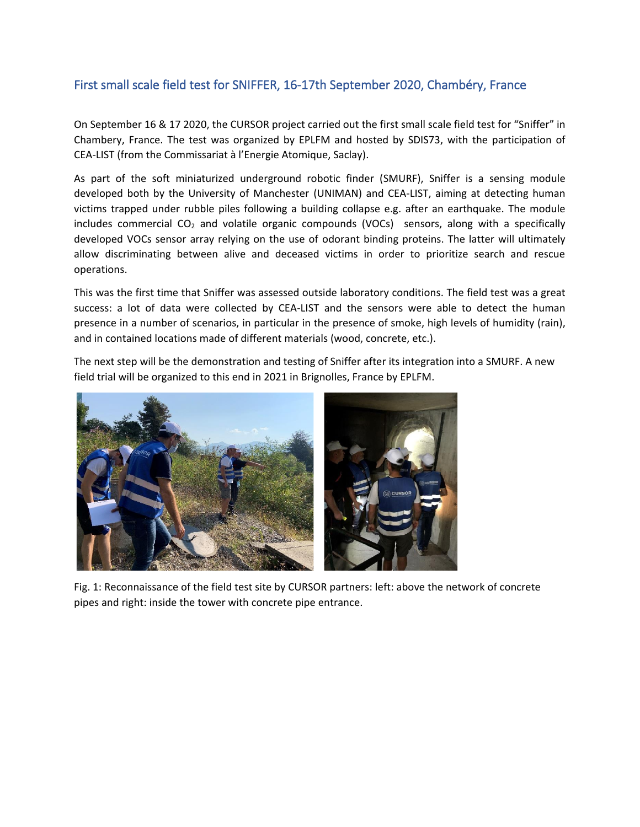## First small scale field test for SNIFFER, 16-17th September 2020, Chambéry, France

On September 16 & 17 2020, the CURSOR project carried out the first small scale field test for "Sniffer" in Chambery, France. The test was organized by EPLFM and hosted by SDIS73, with the participation of CEA-LIST (from the Commissariat à l'Energie Atomique, Saclay).

As part of the soft miniaturized underground robotic finder (SMURF), Sniffer is a sensing module developed both by the University of Manchester (UNIMAN) and CEA-LIST, aiming at detecting human victims trapped under rubble piles following a building collapse e.g. after an earthquake. The module includes commercial  $CO<sub>2</sub>$  and volatile organic compounds (VOCs) sensors, along with a specifically developed VOCs sensor array relying on the use of odorant binding proteins. The latter will ultimately allow discriminating between alive and deceased victims in order to prioritize search and rescue operations.

This was the first time that Sniffer was assessed outside laboratory conditions. The field test was a great success: a lot of data were collected by CEA-LIST and the sensors were able to detect the human presence in a number of scenarios, in particular in the presence of smoke, high levels of humidity (rain), and in contained locations made of different materials (wood, concrete, etc.).

The next step will be the demonstration and testing of Sniffer after its integration into a SMURF. A new field trial will be organized to this end in 2021 in Brignolles, France by EPLFM.



Fig. 1: Reconnaissance of the field test site by CURSOR partners: left: above the network of concrete pipes and right: inside the tower with concrete pipe entrance.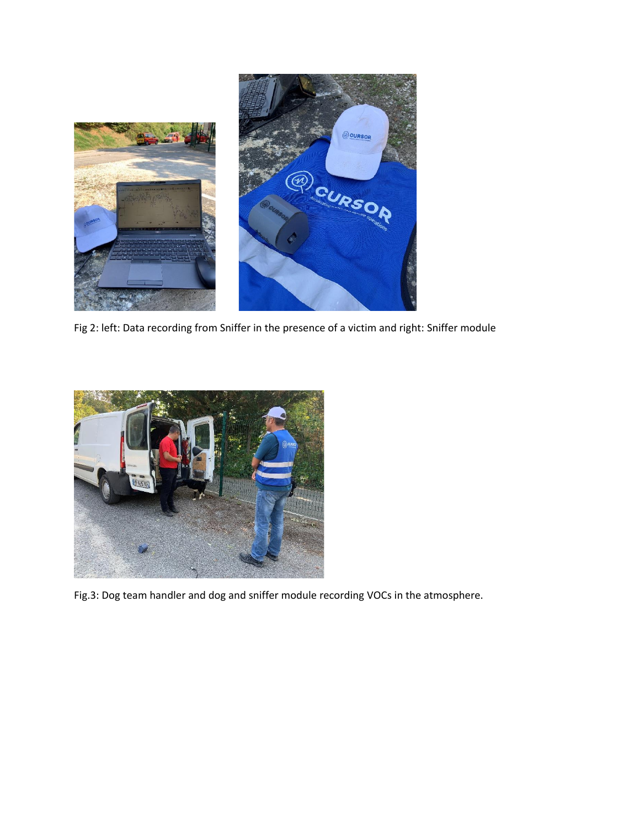

Fig 2: left: Data recording from Sniffer in the presence of a victim and right: Sniffer module



Fig.3: Dog team handler and dog and sniffer module recording VOCs in the atmosphere.